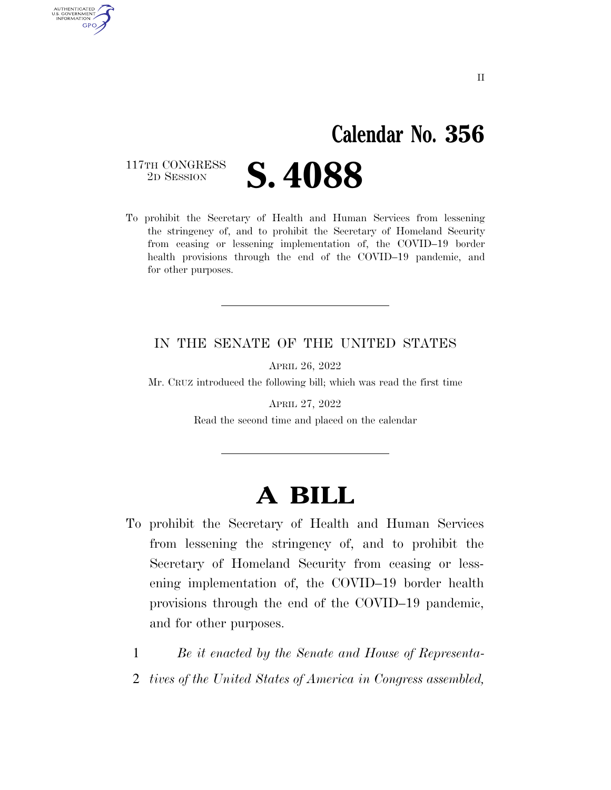## **Calendar No. 356**

117TH CONGRESS<br>2D SESSION

AUTHENTICATED U.S. GOVERNMENT **GPO** 

**S. 4088** 

To prohibit the Secretary of Health and Human Services from lessening the stringency of, and to prohibit the Secretary of Homeland Security from ceasing or lessening implementation of, the COVID–19 border health provisions through the end of the COVID–19 pandemic, and for other purposes.

#### IN THE SENATE OF THE UNITED STATES

APRIL 26, 2022

Mr. CRUZ introduced the following bill; which was read the first time

APRIL 27, 2022 Read the second time and placed on the calendar

### **A BILL**

- To prohibit the Secretary of Health and Human Services from lessening the stringency of, and to prohibit the Secretary of Homeland Security from ceasing or lessening implementation of, the COVID–19 border health provisions through the end of the COVID–19 pandemic, and for other purposes.
	- 1 *Be it enacted by the Senate and House of Representa-*
	- 2 *tives of the United States of America in Congress assembled,*

II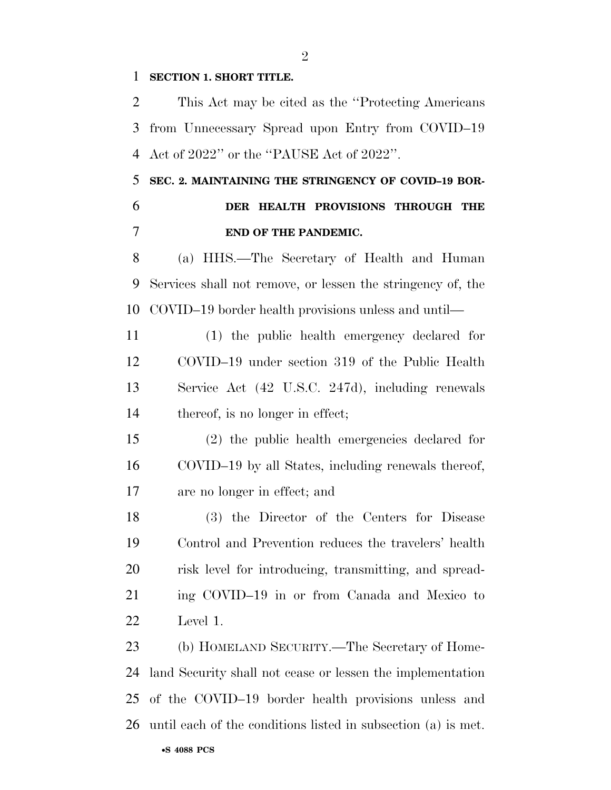**SECTION 1. SHORT TITLE.** 

 This Act may be cited as the ''Protecting Americans from Unnecessary Spread upon Entry from COVID–19 Act of 2022'' or the ''PAUSE Act of 2022''.

#### **SEC. 2. MAINTAINING THE STRINGENCY OF COVID–19 BOR- DER HEALTH PROVISIONS THROUGH THE END OF THE PANDEMIC.**

 (a) HHS.—The Secretary of Health and Human Services shall not remove, or lessen the stringency of, the COVID–19 border health provisions unless and until—

 (1) the public health emergency declared for COVID–19 under section 319 of the Public Health Service Act (42 U.S.C. 247d), including renewals 14 thereof, is no longer in effect;

 (2) the public health emergencies declared for COVID–19 by all States, including renewals thereof, are no longer in effect; and

 (3) the Director of the Centers for Disease Control and Prevention reduces the travelers' health risk level for introducing, transmitting, and spread- ing COVID–19 in or from Canada and Mexico to Level 1.

 (b) HOMELAND SECURITY.—The Secretary of Home- land Security shall not cease or lessen the implementation of the COVID–19 border health provisions unless and until each of the conditions listed in subsection (a) is met.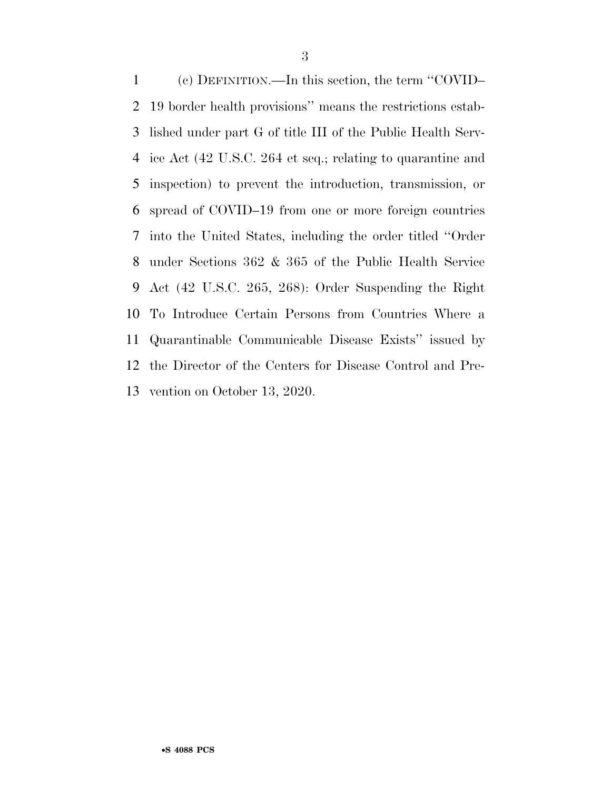(c) DEFINITION.—In this section, the term ''COVID– 19 border health provisions'' means the restrictions estab- lished under part G of title III of the Public Health Serv- ice Act (42 U.S.C. 264 et seq.; relating to quarantine and inspection) to prevent the introduction, transmission, or spread of COVID–19 from one or more foreign countries into the United States, including the order titled ''Order under Sections 362 & 365 of the Public Health Service Act (42 U.S.C. 265, 268): Order Suspending the Right To Introduce Certain Persons from Countries Where a Quarantinable Communicable Disease Exists'' issued by the Director of the Centers for Disease Control and Pre-vention on October 13, 2020.